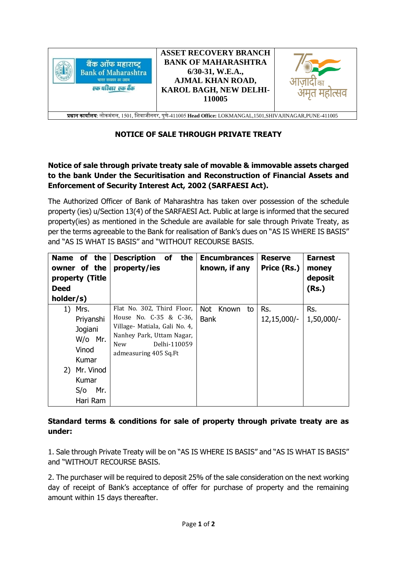

## **NOTICE OF SALE THROUGH PRIVATE TREATY**

## **Notice of sale through private treaty sale of movable & immovable assets charged to the bank Under the Securitisation and Reconstruction of Financial Assets and Enforcement of Security Interest Act, 2002 (SARFAESI Act).**

The Authorized Officer of Bank of Maharashtra has taken over possession of the schedule property (ies) u/Section 13(4) of the SARFAESI Act. Public at large is informed that the secured property(ies) as mentioned in the Schedule are available for sale through Private Treaty, as per the terms agreeable to the Bank for realisation of Bank's dues on "AS IS WHERE IS BASIS" and "AS IS WHAT IS BASIS" and "WITHOUT RECOURSE BASIS.

| Name of the<br>owner of the<br>property (Title<br><b>Deed</b><br>holder/s)                                      | <b>Description</b><br>of<br>the<br>property/ies                                                                                                                           | <b>Encumbrances</b><br>known, if any | <b>Reserve</b><br>Price (Rs.) | <b>Earnest</b><br>money<br>deposit<br>(Rs.) |
|-----------------------------------------------------------------------------------------------------------------|---------------------------------------------------------------------------------------------------------------------------------------------------------------------------|--------------------------------------|-------------------------------|---------------------------------------------|
| 1) Mrs.<br>Priyanshi<br>Jogiani<br>W/o Mr.<br>Vinod<br>Kumar<br>2) Mr. Vinod<br>Kumar<br>Mr.<br>S/O<br>Hari Ram | Flat No. 302, Third Floor,<br>House No. C-35 & C-36.<br>Village- Matiala, Gali No. 4,<br>Nanhey Park, Uttam Nagar,<br>Delhi-110059<br><b>New</b><br>admeasuring 405 Sq.Ft | Not Known<br>to<br><b>Bank</b>       | Rs.<br>$12,15,000/-$          | Rs.<br>$1,50,000/-$                         |

## **Standard terms & conditions for sale of property through private treaty are as under:**

1. Sale through Private Treaty will be on "AS IS WHERE IS BASIS" and "AS IS WHAT IS BASIS" and "WITHOUT RECOURSE BASIS.

2. The purchaser will be required to deposit 25% of the sale consideration on the next working day of receipt of Bank's acceptance of offer for purchase of property and the remaining amount within 15 days thereafter.